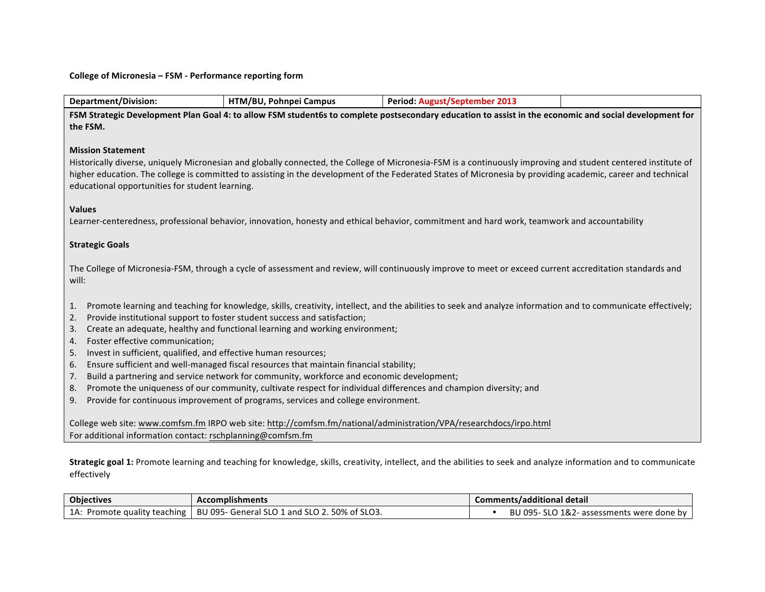## **College of Micronesia - FSM - Performance reporting form**

| <b>Department/Division:</b><br>HTM/BU, Pohnpei Campus<br><b>Period: August/September 2013</b>                                                                                                                                                                                                                                                                                                                                                                                                                                                                                                                                                                                                                                                                                                |  |  |  |
|----------------------------------------------------------------------------------------------------------------------------------------------------------------------------------------------------------------------------------------------------------------------------------------------------------------------------------------------------------------------------------------------------------------------------------------------------------------------------------------------------------------------------------------------------------------------------------------------------------------------------------------------------------------------------------------------------------------------------------------------------------------------------------------------|--|--|--|
| FSM Strategic Development Plan Goal 4: to allow FSM student6s to complete postsecondary education to assist in the economic and social development for<br>the FSM.                                                                                                                                                                                                                                                                                                                                                                                                                                                                                                                                                                                                                           |  |  |  |
| <b>Mission Statement</b><br>Historically diverse, uniquely Micronesian and globally connected, the College of Micronesia-FSM is a continuously improving and student centered institute of<br>higher education. The college is committed to assisting in the development of the Federated States of Micronesia by providing academic, career and technical<br>educational opportunities for student learning.                                                                                                                                                                                                                                                                                                                                                                                |  |  |  |
| <b>Values</b><br>Learner-centeredness, professional behavior, innovation, honesty and ethical behavior, commitment and hard work, teamwork and accountability                                                                                                                                                                                                                                                                                                                                                                                                                                                                                                                                                                                                                                |  |  |  |
| <b>Strategic Goals</b>                                                                                                                                                                                                                                                                                                                                                                                                                                                                                                                                                                                                                                                                                                                                                                       |  |  |  |
| The College of Micronesia-FSM, through a cycle of assessment and review, will continuously improve to meet or exceed current accreditation standards and<br>will:                                                                                                                                                                                                                                                                                                                                                                                                                                                                                                                                                                                                                            |  |  |  |
| Promote learning and teaching for knowledge, skills, creativity, intellect, and the abilities to seek and analyze information and to communicate effectively;<br>1.<br>Provide institutional support to foster student success and satisfaction;<br>2.<br>Create an adequate, healthy and functional learning and working environment;<br>3.<br>Foster effective communication;<br>4.<br>Invest in sufficient, qualified, and effective human resources;<br>5.<br>Ensure sufficient and well-managed fiscal resources that maintain financial stability;<br>6.<br>Build a partnering and service network for community, workforce and economic development;<br>7.<br>Promote the uniqueness of our community, cultivate respect for individual differences and champion diversity; and<br>8. |  |  |  |
| Provide for continuous improvement of programs, services and college environment.<br>9.                                                                                                                                                                                                                                                                                                                                                                                                                                                                                                                                                                                                                                                                                                      |  |  |  |
| College web site: www.comfsm.fm IRPO web site: http://comfsm.fm/national/administration/VPA/researchdocs/irpo.html<br>For additional information contact: rschplanning@comfsm.fm                                                                                                                                                                                                                                                                                                                                                                                                                                                                                                                                                                                                             |  |  |  |

Strategic goal 1: Promote learning and teaching for knowledge, skills, creativity, intellect, and the abilities to seek and analyze information and to communicate effectively

| <b>Objectives</b>            | <b>Accomplishments</b>                        | Comments/additional detail                |
|------------------------------|-----------------------------------------------|-------------------------------------------|
| 1A: Promote quality teaching | BU 095- General SLO 1 and SLO 2. 50% of SLO3. | BU 095- SLO 1&2- assessments were done by |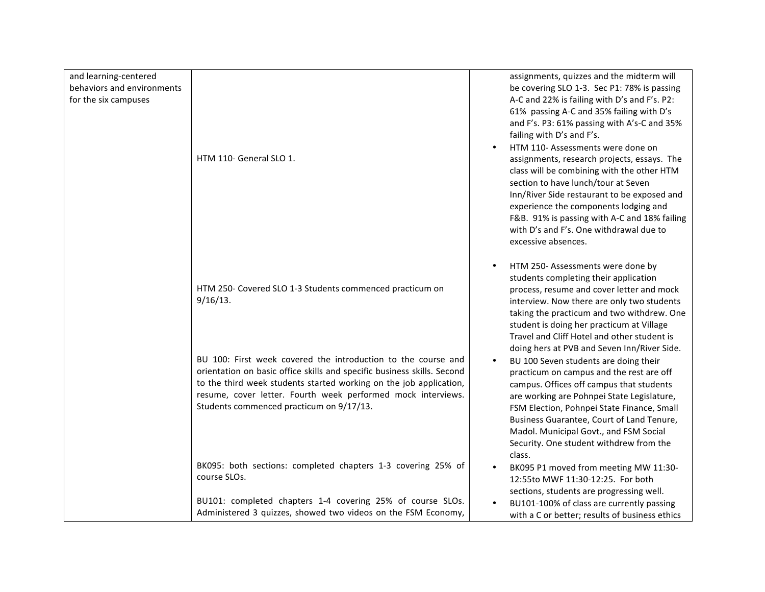| and learning-centered<br>behaviors and environments<br>for the six campuses | HTM 110- General SLO 1.                                                                                                                                                                                                                                                                                                    | assignments, quizzes and the midterm will<br>be covering SLO 1-3. Sec P1: 78% is passing<br>A-C and 22% is failing with D's and F's. P2:<br>61% passing A-C and 35% failing with D's<br>and F's. P3: 61% passing with A's-C and 35%<br>failing with D's and F's.<br>HTM 110- Assessments were done on<br>assignments, research projects, essays. The<br>class will be combining with the other HTM<br>section to have lunch/tour at Seven<br>Inn/River Side restaurant to be exposed and<br>experience the components lodging and<br>F&B. 91% is passing with A-C and 18% failing<br>with D's and F's. One withdrawal due to<br>excessive absences. |
|-----------------------------------------------------------------------------|----------------------------------------------------------------------------------------------------------------------------------------------------------------------------------------------------------------------------------------------------------------------------------------------------------------------------|-----------------------------------------------------------------------------------------------------------------------------------------------------------------------------------------------------------------------------------------------------------------------------------------------------------------------------------------------------------------------------------------------------------------------------------------------------------------------------------------------------------------------------------------------------------------------------------------------------------------------------------------------------|
|                                                                             | HTM 250- Covered SLO 1-3 Students commenced practicum on<br>$9/16/13$ .                                                                                                                                                                                                                                                    | HTM 250- Assessments were done by<br>students completing their application<br>process, resume and cover letter and mock<br>interview. Now there are only two students<br>taking the practicum and two withdrew. One<br>student is doing her practicum at Village<br>Travel and Cliff Hotel and other student is                                                                                                                                                                                                                                                                                                                                     |
|                                                                             | BU 100: First week covered the introduction to the course and<br>orientation on basic office skills and specific business skills. Second<br>to the third week students started working on the job application,<br>resume, cover letter. Fourth week performed mock interviews.<br>Students commenced practicum on 9/17/13. | doing hers at PVB and Seven Inn/River Side.<br>BU 100 Seven students are doing their<br>practicum on campus and the rest are off<br>campus. Offices off campus that students<br>are working are Pohnpei State Legislature,<br>FSM Election, Pohnpei State Finance, Small<br>Business Guarantee, Court of Land Tenure,<br>Madol. Municipal Govt., and FSM Social<br>Security. One student withdrew from the<br>class.                                                                                                                                                                                                                                |
|                                                                             | BK095: both sections: completed chapters 1-3 covering 25% of<br>course SLOs.                                                                                                                                                                                                                                               | BK095 P1 moved from meeting MW 11:30-<br>12:55to MWF 11:30-12:25. For both<br>sections, students are progressing well.                                                                                                                                                                                                                                                                                                                                                                                                                                                                                                                              |
|                                                                             | BU101: completed chapters 1-4 covering 25% of course SLOs.<br>Administered 3 quizzes, showed two videos on the FSM Economy,                                                                                                                                                                                                | BU101-100% of class are currently passing<br>with a C or better; results of business ethics                                                                                                                                                                                                                                                                                                                                                                                                                                                                                                                                                         |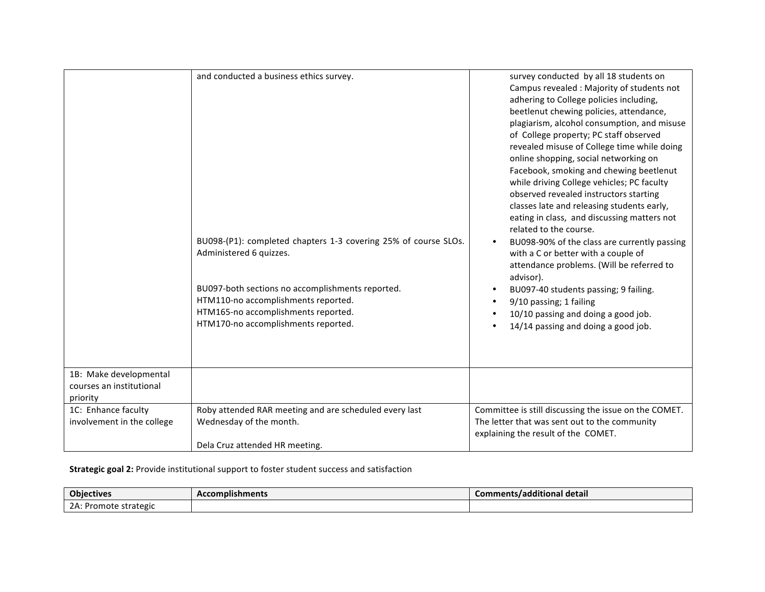|                                                                | and conducted a business ethics survey.<br>BU098-(P1): completed chapters 1-3 covering 25% of course SLOs.<br>Administered 6 quizzes.<br>BU097-both sections no accomplishments reported.<br>HTM110-no accomplishments reported. | survey conducted by all 18 students on<br>Campus revealed : Majority of students not<br>adhering to College policies including,<br>beetlenut chewing policies, attendance,<br>plagiarism, alcohol consumption, and misuse<br>of College property; PC staff observed<br>revealed misuse of College time while doing<br>online shopping, social networking on<br>Facebook, smoking and chewing beetlenut<br>while driving College vehicles; PC faculty<br>observed revealed instructors starting<br>classes late and releasing students early,<br>eating in class, and discussing matters not<br>related to the course.<br>BU098-90% of the class are currently passing<br>with a C or better with a couple of<br>attendance problems. (Will be referred to<br>advisor).<br>BU097-40 students passing; 9 failing. |
|----------------------------------------------------------------|----------------------------------------------------------------------------------------------------------------------------------------------------------------------------------------------------------------------------------|-----------------------------------------------------------------------------------------------------------------------------------------------------------------------------------------------------------------------------------------------------------------------------------------------------------------------------------------------------------------------------------------------------------------------------------------------------------------------------------------------------------------------------------------------------------------------------------------------------------------------------------------------------------------------------------------------------------------------------------------------------------------------------------------------------------------|
|                                                                | HTM165-no accomplishments reported.<br>HTM170-no accomplishments reported.                                                                                                                                                       | 9/10 passing; 1 failing<br>10/10 passing and doing a good job.<br>14/14 passing and doing a good job.                                                                                                                                                                                                                                                                                                                                                                                                                                                                                                                                                                                                                                                                                                           |
| 1B: Make developmental<br>courses an institutional<br>priority |                                                                                                                                                                                                                                  |                                                                                                                                                                                                                                                                                                                                                                                                                                                                                                                                                                                                                                                                                                                                                                                                                 |
| 1C: Enhance faculty<br>involvement in the college              | Roby attended RAR meeting and are scheduled every last<br>Wednesday of the month.                                                                                                                                                | Committee is still discussing the issue on the COMET.<br>The letter that was sent out to the community<br>explaining the result of the COMET.                                                                                                                                                                                                                                                                                                                                                                                                                                                                                                                                                                                                                                                                   |
|                                                                | Dela Cruz attended HR meeting.                                                                                                                                                                                                   |                                                                                                                                                                                                                                                                                                                                                                                                                                                                                                                                                                                                                                                                                                                                                                                                                 |

## **Strategic goal 2:** Provide institutional support to foster student success and satisfaction

| <b>Objectives</b>           | <b>Accomplishments</b> | .<br>. .<br>Comments/additional detail |
|-----------------------------|------------------------|----------------------------------------|
| $2A$ :<br>Promote strategic |                        |                                        |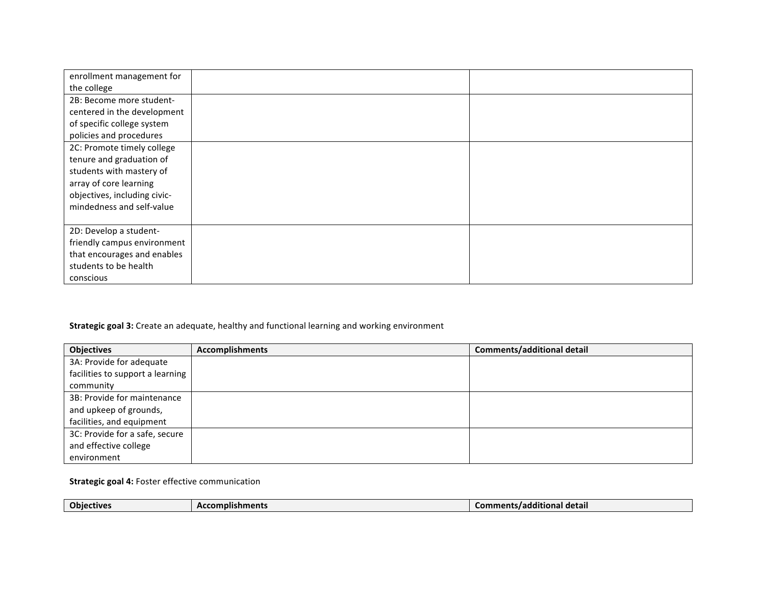| enrollment management for    |  |
|------------------------------|--|
| the college                  |  |
| 2B: Become more student-     |  |
| centered in the development  |  |
| of specific college system   |  |
| policies and procedures      |  |
| 2C: Promote timely college   |  |
| tenure and graduation of     |  |
| students with mastery of     |  |
| array of core learning       |  |
| objectives, including civic- |  |
| mindedness and self-value    |  |
|                              |  |
| 2D: Develop a student-       |  |
| friendly campus environment  |  |
| that encourages and enables  |  |
| students to be health        |  |
| conscious                    |  |

## **Strategic goal 3:** Create an adequate, healthy and functional learning and working environment

| <b>Objectives</b>                | <b>Accomplishments</b> | <b>Comments/additional detail</b> |
|----------------------------------|------------------------|-----------------------------------|
| 3A: Provide for adequate         |                        |                                   |
| facilities to support a learning |                        |                                   |
| community                        |                        |                                   |
| 3B: Provide for maintenance      |                        |                                   |
| and upkeep of grounds,           |                        |                                   |
| facilities, and equipment        |                        |                                   |
| 3C: Provide for a safe, secure   |                        |                                   |
| and effective college            |                        |                                   |
| environment                      |                        |                                   |

## **Strategic goal 4: Foster effective communication**

| .<br><b>Objectives</b><br><b>Accomplishments</b><br>mants/additional usual.<br>detail |  |  |  |
|---------------------------------------------------------------------------------------|--|--|--|
|---------------------------------------------------------------------------------------|--|--|--|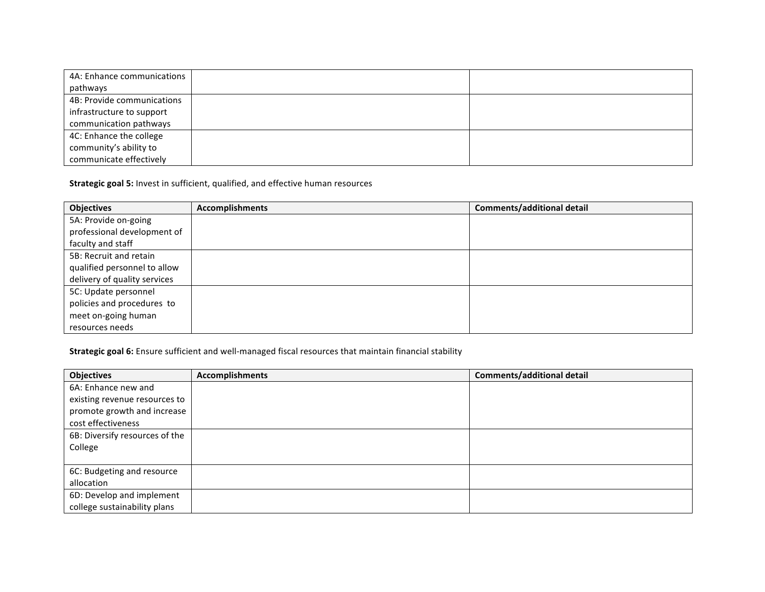| 4A: Enhance communications |  |
|----------------------------|--|
| pathways                   |  |
| 4B: Provide communications |  |
| infrastructure to support  |  |
| communication pathways     |  |
| 4C: Enhance the college    |  |
| community's ability to     |  |
| communicate effectively    |  |

**Strategic goal 5:** Invest in sufficient, qualified, and effective human resources

| <b>Objectives</b>            | <b>Accomplishments</b> | Comments/additional detail |
|------------------------------|------------------------|----------------------------|
| 5A: Provide on-going         |                        |                            |
| professional development of  |                        |                            |
| faculty and staff            |                        |                            |
| 5B: Recruit and retain       |                        |                            |
| qualified personnel to allow |                        |                            |
| delivery of quality services |                        |                            |
| 5C: Update personnel         |                        |                            |
| policies and procedures to   |                        |                            |
| meet on-going human          |                        |                            |
| resources needs              |                        |                            |

**Strategic goal 6:** Ensure sufficient and well-managed fiscal resources that maintain financial stability

| <b>Objectives</b>              | <b>Accomplishments</b> | <b>Comments/additional detail</b> |
|--------------------------------|------------------------|-----------------------------------|
| 6A: Enhance new and            |                        |                                   |
| existing revenue resources to  |                        |                                   |
| promote growth and increase    |                        |                                   |
| cost effectiveness             |                        |                                   |
| 6B: Diversify resources of the |                        |                                   |
| College                        |                        |                                   |
|                                |                        |                                   |
| 6C: Budgeting and resource     |                        |                                   |
| allocation                     |                        |                                   |
| 6D: Develop and implement      |                        |                                   |
| college sustainability plans   |                        |                                   |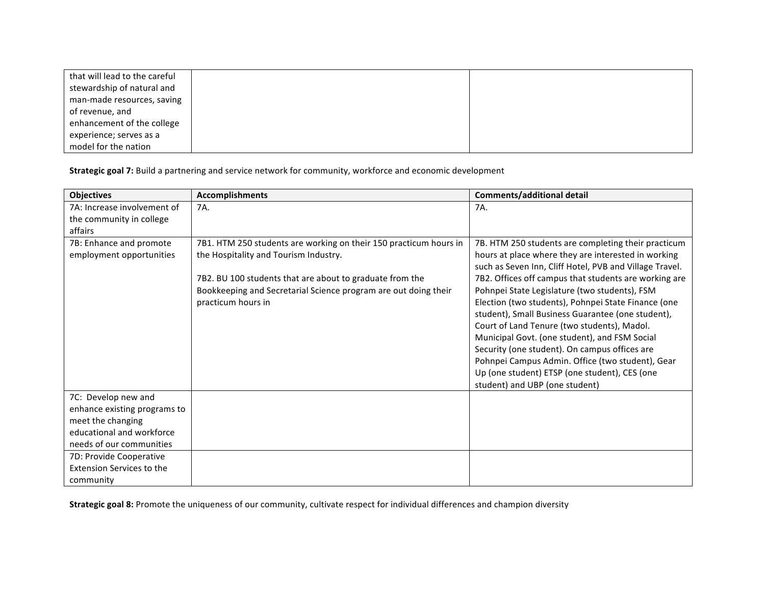| that will lead to the careful |  |
|-------------------------------|--|
| stewardship of natural and    |  |
| man-made resources, saving    |  |
| of revenue, and               |  |
| enhancement of the college    |  |
| experience; serves as a       |  |
| model for the nation          |  |

**Strategic goal 7:** Build a partnering and service network for community, workforce and economic development

| <b>Objectives</b>                | <b>Accomplishments</b>                                            | <b>Comments/additional detail</b>                       |
|----------------------------------|-------------------------------------------------------------------|---------------------------------------------------------|
| 7A: Increase involvement of      | 7A.                                                               | 7A.                                                     |
| the community in college         |                                                                   |                                                         |
| affairs                          |                                                                   |                                                         |
| 7B: Enhance and promote          | 7B1. HTM 250 students are working on their 150 practicum hours in | 7B. HTM 250 students are completing their practicum     |
| employment opportunities         | the Hospitality and Tourism Industry.                             | hours at place where they are interested in working     |
|                                  |                                                                   | such as Seven Inn, Cliff Hotel, PVB and Village Travel. |
|                                  | 7B2. BU 100 students that are about to graduate from the          | 7B2. Offices off campus that students are working are   |
|                                  | Bookkeeping and Secretarial Science program are out doing their   | Pohnpei State Legislature (two students), FSM           |
|                                  | practicum hours in                                                | Election (two students), Pohnpei State Finance (one     |
|                                  |                                                                   | student), Small Business Guarantee (one student),       |
|                                  |                                                                   | Court of Land Tenure (two students), Madol.             |
|                                  |                                                                   | Municipal Govt. (one student), and FSM Social           |
|                                  |                                                                   | Security (one student). On campus offices are           |
|                                  |                                                                   | Pohnpei Campus Admin. Office (two student), Gear        |
|                                  |                                                                   | Up (one student) ETSP (one student), CES (one           |
|                                  |                                                                   | student) and UBP (one student)                          |
| 7C: Develop new and              |                                                                   |                                                         |
| enhance existing programs to     |                                                                   |                                                         |
| meet the changing                |                                                                   |                                                         |
| educational and workforce        |                                                                   |                                                         |
| needs of our communities         |                                                                   |                                                         |
| 7D: Provide Cooperative          |                                                                   |                                                         |
| <b>Extension Services to the</b> |                                                                   |                                                         |
| community                        |                                                                   |                                                         |

Strategic goal 8: Promote the uniqueness of our community, cultivate respect for individual differences and champion diversity